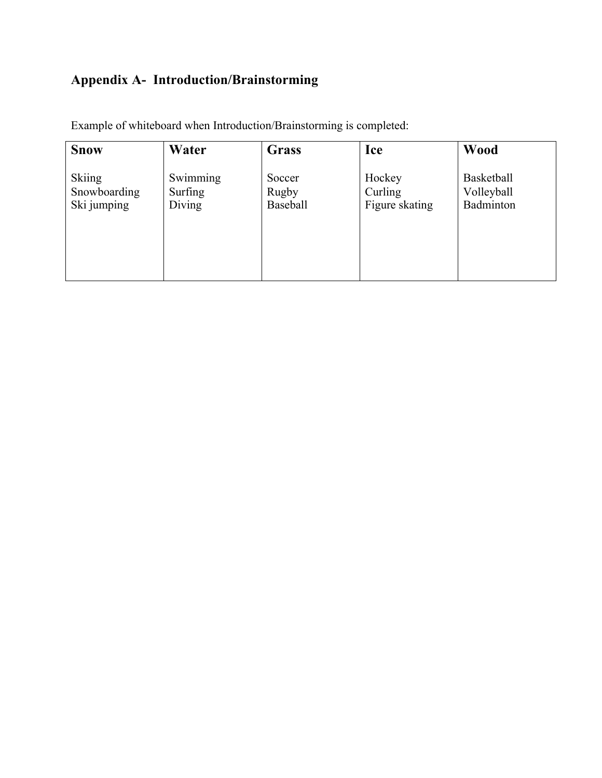## **Appendix A- Introduction/Brainstorming**

| <b>Snow</b>   | Water    | <b>Grass</b> | <b>Ice</b>     | <b>Wood</b> |
|---------------|----------|--------------|----------------|-------------|
| <b>Skiing</b> | Swimming | Soccer       | Hockey         | Basketball  |
| Snowboarding  | Surfing  | <b>Rugby</b> | Curling        | Volleyball  |
| Ski jumping   | Diving   | Baseball     | Figure skating | Badminton   |

Example of whiteboard when Introduction/Brainstorming is completed: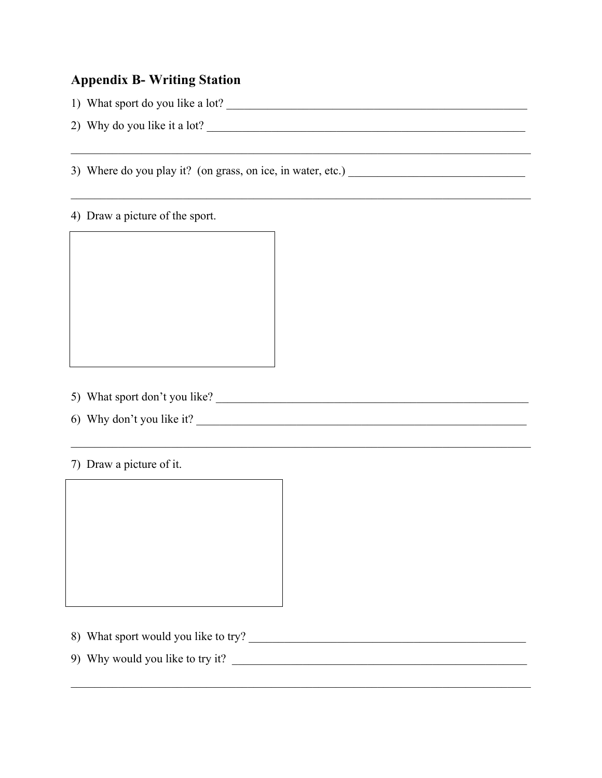## **Appendix B- Writing Station**

1) What sport do you like a lot?

2) Why do you like it a lot?

4) Draw a picture of the sport.



- 5) What sport don't you like?
- 6) Why don't you like it?

7) Draw a picture of it.



9) Why would you like to try it?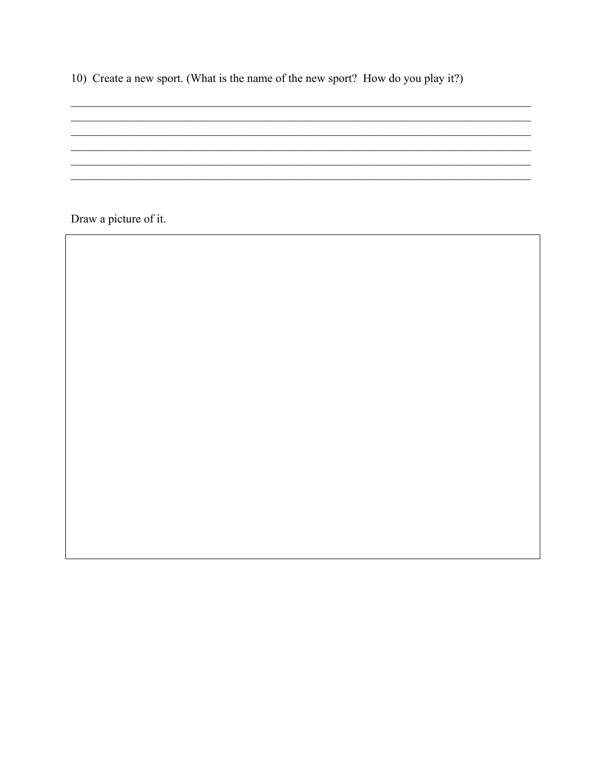10) Create a new sport. (What is the name of the new sport? How do you play it?)

Draw a picture of it.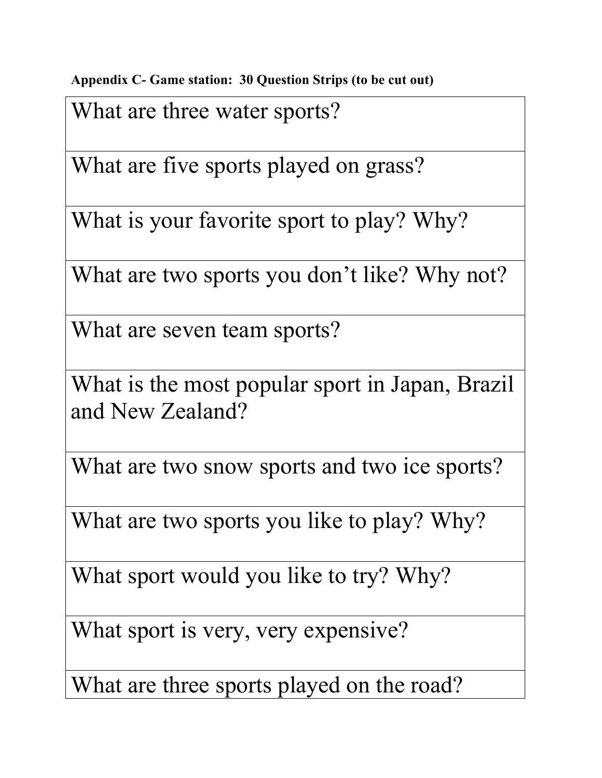**Appendix C- Game station: 30 Question Strips (to be cut out)** 

What are three water sports?

What are five sports played on grass?

What is your favorite sport to play? Why?

What are two sports you don't like? Why not?

What are seven team sports?

What is the most popular sport in Japan, Brazil and New Zealand?

What are two snow sports and two ice sports?

What are two sports you like to play? Why?

What sport would you like to try? Why?

What sport is very, very expensive?

What are three sports played on the road?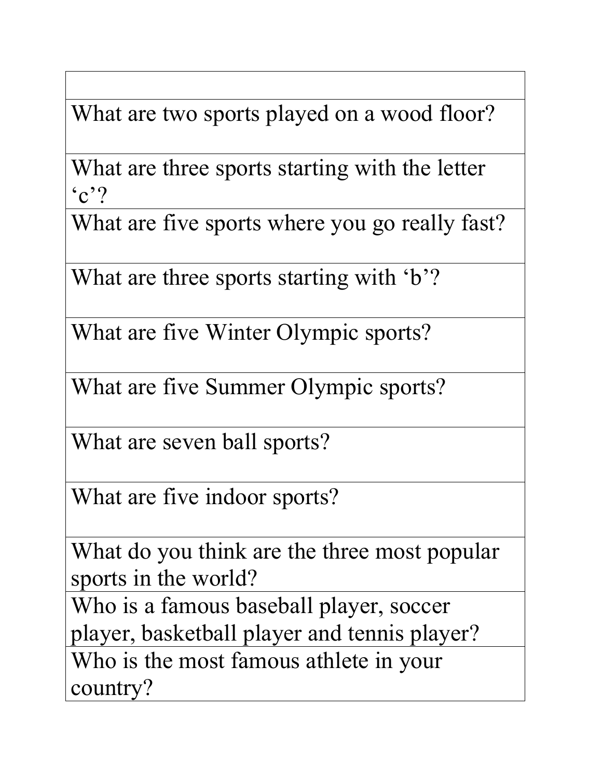What are two sports played on a wood floor?

What are three sports starting with the letter  $C'$ ?

What are five sports where you go really fast?

What are three sports starting with 'b'?

What are five Winter Olympic sports?

What are five Summer Olympic sports?

What are seven ball sports?

What are five indoor sports?

What do you think are the three most popular sports in the world?

Who is a famous baseball player, soccer player, basketball player and tennis player? Who is the most famous athlete in your country?